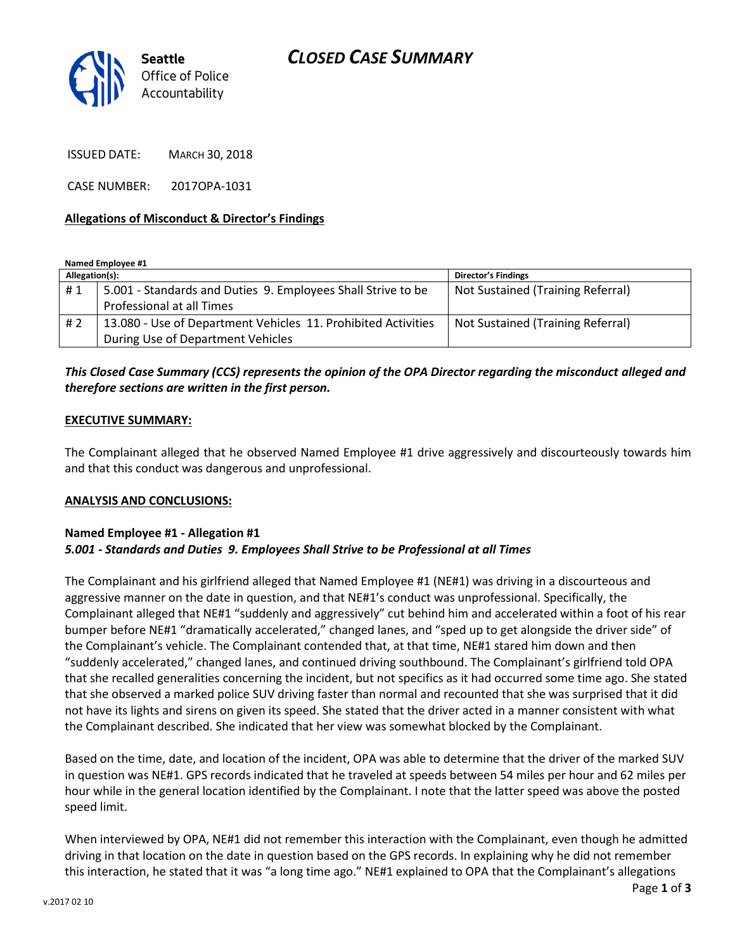## *CLOSED CASE SUMMARY*



ISSUED DATE: MARCH 30, 2018

CASE NUMBER: 2017OPA-1031

#### **Allegations of Misconduct & Director's Findings**

**Named Employee #1**

| Allegation(s): |                                                               | <b>Director's Findings</b>        |
|----------------|---------------------------------------------------------------|-----------------------------------|
| #1             | 5.001 - Standards and Duties 9. Employees Shall Strive to be  | Not Sustained (Training Referral) |
|                | Professional at all Times                                     |                                   |
| # 2            | 13.080 - Use of Department Vehicles 11. Prohibited Activities | Not Sustained (Training Referral) |
|                | During Use of Department Vehicles                             |                                   |

### *This Closed Case Summary (CCS) represents the opinion of the OPA Director regarding the misconduct alleged and therefore sections are written in the first person.*

#### **EXECUTIVE SUMMARY:**

The Complainant alleged that he observed Named Employee #1 drive aggressively and discourteously towards him and that this conduct was dangerous and unprofessional.

#### **ANALYSIS AND CONCLUSIONS:**

#### **Named Employee #1 - Allegation #1** *5.001 - Standards and Duties 9. Employees Shall Strive to be Professional at all Times*

The Complainant and his girlfriend alleged that Named Employee #1 (NE#1) was driving in a discourteous and aggressive manner on the date in question, and that NE#1's conduct was unprofessional. Specifically, the Complainant alleged that NE#1 "suddenly and aggressively" cut behind him and accelerated within a foot of his rear bumper before NE#1 "dramatically accelerated," changed lanes, and "sped up to get alongside the driver side" of the Complainant's vehicle. The Complainant contended that, at that time, NE#1 stared him down and then "suddenly accelerated," changed lanes, and continued driving southbound. The Complainant's girlfriend told OPA that she recalled generalities concerning the incident, but not specifics as it had occurred some time ago. She stated that she observed a marked police SUV driving faster than normal and recounted that she was surprised that it did not have its lights and sirens on given its speed. She stated that the driver acted in a manner consistent with what the Complainant described. She indicated that her view was somewhat blocked by the Complainant.

Based on the time, date, and location of the incident, OPA was able to determine that the driver of the marked SUV in question was NE#1. GPS records indicated that he traveled at speeds between 54 miles per hour and 62 miles per hour while in the general location identified by the Complainant. I note that the latter speed was above the posted speed limit.

When interviewed by OPA, NE#1 did not remember this interaction with the Complainant, even though he admitted driving in that location on the date in question based on the GPS records. In explaining why he did not remember this interaction, he stated that it was "a long time ago." NE#1 explained to OPA that the Complainant's allegations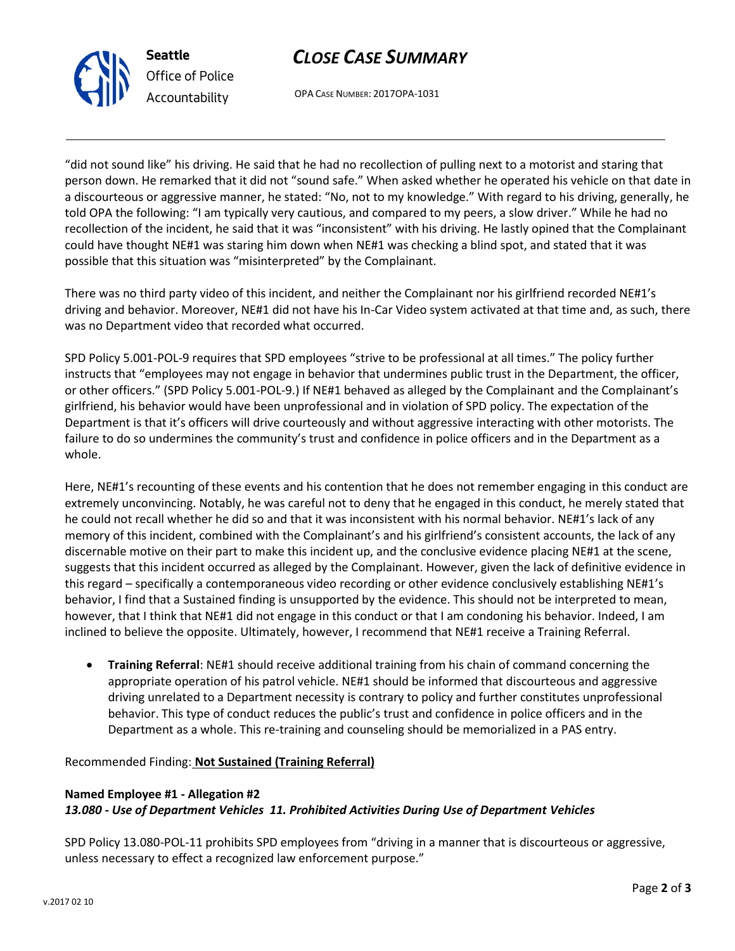



OPA CASE NUMBER: 2017OPA-1031

"did not sound like" his driving. He said that he had no recollection of pulling next to a motorist and staring that person down. He remarked that it did not "sound safe." When asked whether he operated his vehicle on that date in a discourteous or aggressive manner, he stated: "No, not to my knowledge." With regard to his driving, generally, he told OPA the following: "I am typically very cautious, and compared to my peers, a slow driver." While he had no recollection of the incident, he said that it was "inconsistent" with his driving. He lastly opined that the Complainant could have thought NE#1 was staring him down when NE#1 was checking a blind spot, and stated that it was possible that this situation was "misinterpreted" by the Complainant.

There was no third party video of this incident, and neither the Complainant nor his girlfriend recorded NE#1's driving and behavior. Moreover, NE#1 did not have his In-Car Video system activated at that time and, as such, there was no Department video that recorded what occurred.

SPD Policy 5.001-POL-9 requires that SPD employees "strive to be professional at all times." The policy further instructs that "employees may not engage in behavior that undermines public trust in the Department, the officer, or other officers." (SPD Policy 5.001-POL-9.) If NE#1 behaved as alleged by the Complainant and the Complainant's girlfriend, his behavior would have been unprofessional and in violation of SPD policy. The expectation of the Department is that it's officers will drive courteously and without aggressive interacting with other motorists. The failure to do so undermines the community's trust and confidence in police officers and in the Department as a whole.

Here, NE#1's recounting of these events and his contention that he does not remember engaging in this conduct are extremely unconvincing. Notably, he was careful not to deny that he engaged in this conduct, he merely stated that he could not recall whether he did so and that it was inconsistent with his normal behavior. NE#1's lack of any memory of this incident, combined with the Complainant's and his girlfriend's consistent accounts, the lack of any discernable motive on their part to make this incident up, and the conclusive evidence placing NE#1 at the scene, suggests that this incident occurred as alleged by the Complainant. However, given the lack of definitive evidence in this regard – specifically a contemporaneous video recording or other evidence conclusively establishing NE#1's behavior, I find that a Sustained finding is unsupported by the evidence. This should not be interpreted to mean, however, that I think that NE#1 did not engage in this conduct or that I am condoning his behavior. Indeed, I am inclined to believe the opposite. Ultimately, however, I recommend that NE#1 receive a Training Referral.

• **Training Referral**: NE#1 should receive additional training from his chain of command concerning the appropriate operation of his patrol vehicle. NE#1 should be informed that discourteous and aggressive driving unrelated to a Department necessity is contrary to policy and further constitutes unprofessional behavior. This type of conduct reduces the public's trust and confidence in police officers and in the Department as a whole. This re-training and counseling should be memorialized in a PAS entry.

Recommended Finding: **Not Sustained (Training Referral)**

#### **Named Employee #1 - Allegation #2** *13.080 - Use of Department Vehicles 11. Prohibited Activities During Use of Department Vehicles*

SPD Policy 13.080-POL-11 prohibits SPD employees from "driving in a manner that is discourteous or aggressive, unless necessary to effect a recognized law enforcement purpose."